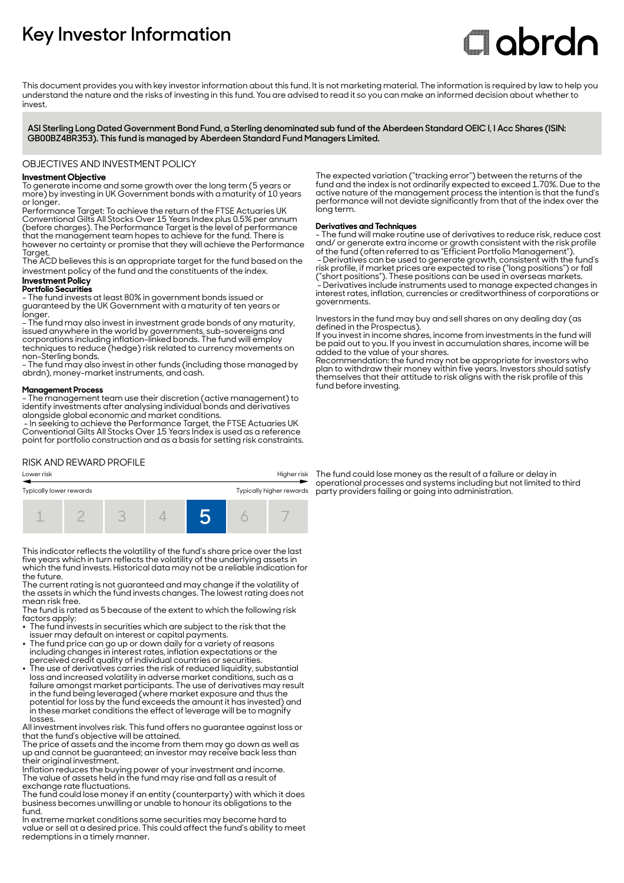# **Key Investor Information**

# **Clobrdo**

This document provides you with key investor information about this fund. It is not marketing material. The information is required by law to help you understand the nature and the risks of investing in this fund. You are advised to read it so you can make an informed decision about whether to invest

**ASI Sterling Long Dated Government Bond Fund, a Sterling denominated sub fund of the Aberdeen Standard OEIC I, I Acc Shares (ISIN: GB00BZ4BR353). This fund is managed by Aberdeen Standard Fund Managers Limited.**

#### OBJECTIVES AND INVESTMENT POLICY

#### **Investment Objective**

To generate income and some growth over the long term (5 years or more) by investing in UK Government bonds with a maturity of 10 years or longer.

Performance Target: To achieve the return of the FTSE Actuaries UK Conventional Gilts All Stocks Over 15 Years Index plus 0.5% per annum (before charges). The Performance Target is the level of performance that the management team hopes to achieve for the fund. There is however no certainty or promise that they will achieve the Performance Taraet

The ACD believes this is an appropriate target for the fund based on the investment policy of the fund and the constituents of the index.

## **Investment Policy**

**Portfolio Securities**

- The fund invests at least 80% in government bonds issued or guaranteed by the UK Government with a maturity of ten years or longer.

- The fund may also invest in investment grade bonds of any maturity, issued anywhere in the world by governments, sub-sovereigns and corporations including inflation-linked bonds. The fund will employ techniques to reduce (hedge) risk related to currency movements on non-Sterling bonds.

- The fund may also invest in other funds (including those managed by abrdn), money-market instruments, and cash.

#### **Management Process**

- The management team use their discretion (active management) to identify investments after analysing individual bonds and derivatives alongside global economic and market conditions.

 - In seeking to achieve the Performance Target, the FTSE Actuaries UK Conventional Gilts All Stocks Over 15 Years Index is used as a reference point for portfolio construction and as a basis for setting risk constraints.

#### RISK AND REWARD PROFILE



This indicator reflects the volatility of the fund's share price over the last five years which in turn reflects the volatility of the underlying assets in which the fund invests. Historical data may not be a reliable indication for the future.

The current rating is not guaranteed and may change if the volatility of the assets in which the fund invests changes. The lowest rating does not mean risk free.

The fund is rated as 5 because of the extent to which the following risk factors apply:

- The fund invests in securities which are subject to the risk that the issuer may default on interest or capital payments. 2 The fund price can go up or down daily for a variety of reasons
- including changes in interest rates, inflation expectations or the
- perceived credit quality of individual countries or securities. 2 The use of derivatives carries the risk of reduced liquidity, substantial loss and increased volatility in adverse market conditions, such as a failure amongst market participants. The use of derivatives may result in the fund being leveraged (where market exposure and thus the potential for loss by the fund exceeds the amount it has invested) and in these market conditions the effect of leverage will be to magnify losses.

All investment involves risk. This fund offers no guarantee against loss or that the fund's objective will be attained.

The price of assets and the income from them may go down as well as up and cannot be guaranteed; an investor may receive back less than their original investment.

Inflation reduces the buying power of your investment and income. The value of assets held in the fund may rise and fall as a result of exchange rate fluctuations.

The fund could lose money if an entity (counterparty) with which it does business becomes unwilling or unable to honour its obligations to the fund.

In extreme market conditions some securities may become hard to value or sell at a desired price. This could affect the fund's ability to meet redemptions in a timely manner.

The expected variation ("tracking error") between the returns of the fund and the index is not ordinarily expected to exceed 1.70%. Due to the active nature of the management process the intention is that the fund's performance will not deviate significantly from that of the index over the long term.

#### **Derivatives and Techniques**

- The fund will make routine use of derivatives to reduce risk, reduce cost and/ or generate extra income or growth consistent with the risk profile of the fund (often referred to as "Efficient Portfolio Management"). - Derivatives can be used to generate growth, consistent with the fund's risk profile, if market prices are expected to rise ("long positions") or fall ("short positions"). These positions can be used in overseas markets. - Derivatives include instruments used to manage expected changes in interest rates, inflation, currencies or creditworthiness of corporations or governments.

Investors in the fund may buy and sell shares on any dealing day (as defined in the Prospectus).

If you invest in income shares, income from investments in the fund will be paid out to you. If you invest in accumulation shares, income will be added to the value of your shares.

Recommendation: the fund may not be appropriate for investors who plan to withdraw their money within five years. Investors should satisfy themselves that their attitude to risk aligns with the risk profile of this fund before investing.

The fund could lose money as the result of a failure or delay in operational processes and systems including but not limited to third party providers failing or going into administration.